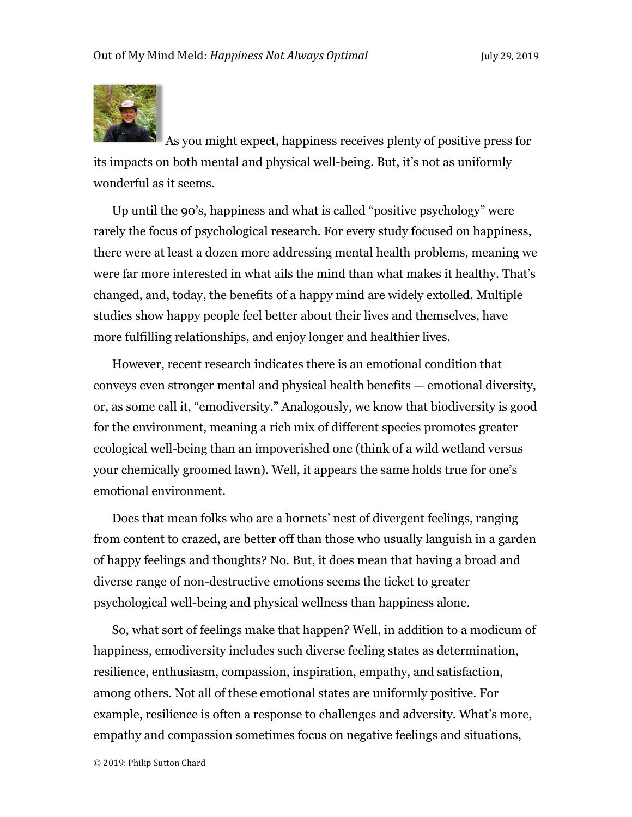

As you might expect, happiness receives plenty of positive press for its impacts on both mental and physical well-being. But, it's not as uniformly wonderful as it seems.

Up until the 90's, happiness and what is called "positive psychology" were rarely the focus of psychological research. For every study focused on happiness, there were at least a dozen more addressing mental health problems, meaning we were far more interested in what ails the mind than what makes it healthy. That's changed, and, today, the benefits of a happy mind are widely extolled. Multiple studies show happy people feel better about their lives and themselves, have more fulfilling relationships, and enjoy longer and healthier lives.

However, recent research indicates there is an emotional condition that conveys even stronger mental and physical health benefits — emotional diversity, or, as some call it, "emodiversity." Analogously, we know that biodiversity is good for the environment, meaning a rich mix of different species promotes greater ecological well-being than an impoverished one (think of a wild wetland versus your chemically groomed lawn). Well, it appears the same holds true for one's emotional environment.

Does that mean folks who are a hornets' nest of divergent feelings, ranging from content to crazed, are better off than those who usually languish in a garden of happy feelings and thoughts? No. But, it does mean that having a broad and diverse range of non-destructive emotions seems the ticket to greater psychological well-being and physical wellness than happiness alone.

So, what sort of feelings make that happen? Well, in addition to a modicum of happiness, emodiversity includes such diverse feeling states as determination, resilience, enthusiasm, compassion, inspiration, empathy, and satisfaction, among others. Not all of these emotional states are uniformly positive. For example, resilience is often a response to challenges and adversity. What's more, empathy and compassion sometimes focus on negative feelings and situations,